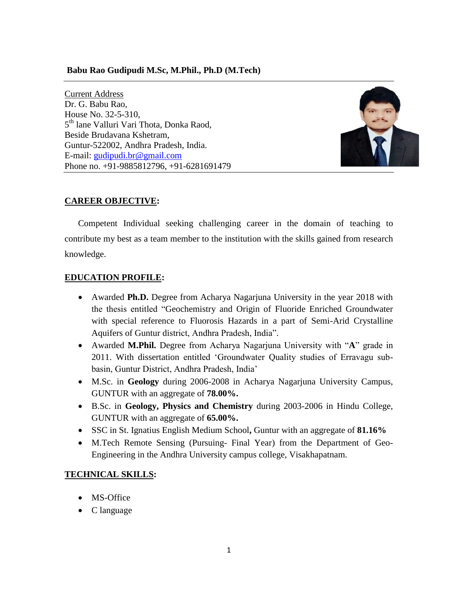### **Babu Rao Gudipudi M.Sc, M.Phil., Ph.D (M.Tech)**

Current Address Dr. G. Babu Rao, House No. 32-5-310, 5<sup>th</sup> lane Valluri Vari Thota, Donka Raod, Beside Brudavana Kshetram, Guntur-522002, Andhra Pradesh, India. E-mail: [gudipudi.br@gmail.com](mailto:gudipudi.br@gmail.com) Phone no. +91-9885812796, +91-6281691479



# **CAREER OBJECTIVE:**

Competent Individual seeking challenging career in the domain of teaching to contribute my best as a team member to the institution with the skills gained from research knowledge.

### **EDUCATION PROFILE:**

- Awarded **Ph.D.** Degree from Acharya Nagarjuna University in the year 2018 with the thesis entitled "Geochemistry and Origin of Fluoride Enriched Groundwater with special reference to Fluorosis Hazards in a part of Semi-Arid Crystalline Aquifers of Guntur district, Andhra Pradesh, India".
- Awarded **M.Phil.** Degree from Acharya Nagarjuna University with "**A**" grade in 2011. With dissertation entitled "Groundwater Quality studies of Erravagu subbasin, Guntur District, Andhra Pradesh, India"
- M.Sc. in **Geology** during 2006-2008 in Acharya Nagarjuna University Campus, GUNTUR with an aggregate of **78.00%.**
- B.Sc. in **Geology, Physics and Chemistry** during 2003-2006 in Hindu College, GUNTUR with an aggregate of **65.00%.**
- SSC in St. Ignatius English Medium School**,** Guntur with an aggregate of **81.16%**
- M.Tech Remote Sensing (Pursuing- Final Year) from the Department of Geo-Engineering in the Andhra University campus college, Visakhapatnam.

# **TECHNICAL SKILLS:**

- MS-Office
- C language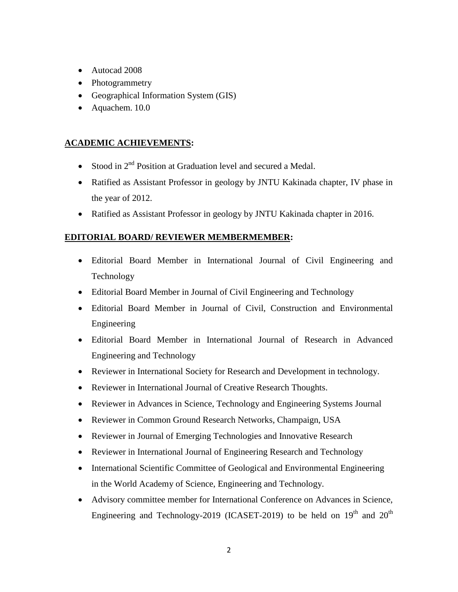- Autocad 2008
- Photogrammetry
- Geographical Information System (GIS)
- Aquachem. 10.0

# **ACADEMIC ACHIEVEMENTS:**

- Stood in 2<sup>nd</sup> Position at Graduation level and secured a Medal.
- Ratified as Assistant Professor in geology by JNTU Kakinada chapter, IV phase in the year of 2012.
- Ratified as Assistant Professor in geology by JNTU Kakinada chapter in 2016.

# **EDITORIAL BOARD/ REVIEWER MEMBERMEMBER:**

- Editorial Board Member in International Journal of Civil Engineering and Technology
- Editorial Board Member in Journal of Civil Engineering and Technology
- Editorial Board Member in Journal of Civil, Construction and Environmental Engineering
- Editorial Board Member in International Journal of Research in Advanced Engineering and Technology
- Reviewer in International Society for Research and Development in technology.
- Reviewer in International Journal of Creative Research Thoughts.
- Reviewer in Advances in Science, Technology and Engineering Systems Journal
- Reviewer in Common Ground Research Networks, Champaign, USA
- Reviewer in Journal of Emerging Technologies and Innovative Research
- Reviewer in International Journal of Engineering Research and Technology
- International Scientific Committee of Geological and Environmental Engineering in the World Academy of Science, Engineering and Technology.
- Advisory committee member for International Conference on Advances in Science, Engineering and Technology-2019 (ICASET-2019) to be held on  $19<sup>th</sup>$  and  $20<sup>th</sup>$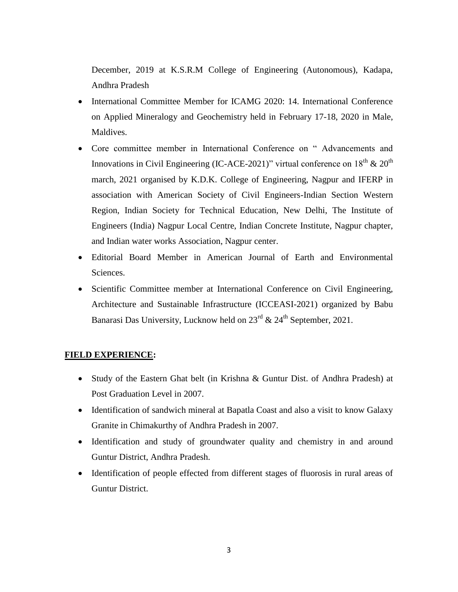December, 2019 at K.S.R.M College of Engineering (Autonomous), Kadapa, Andhra Pradesh

- International Committee Member for ICAMG 2020: 14. International Conference on Applied Mineralogy and Geochemistry held in February 17-18, 2020 in Male, Maldives.
- Core committee member in International Conference on " Advancements and Innovations in Civil Engineering (IC-ACE-2021)" virtual conference on  $18<sup>th</sup>$  &  $20<sup>th</sup>$ march, 2021 organised by K.D.K. College of Engineering, Nagpur and IFERP in association with American Society of Civil Engineers-Indian Section Western Region, Indian Society for Technical Education, New Delhi, The Institute of Engineers (India) Nagpur Local Centre, Indian Concrete Institute, Nagpur chapter, and Indian water works Association, Nagpur center.
- Editorial Board Member in American Journal of Earth and Environmental Sciences.
- Scientific Committee member at International Conference on Civil Engineering, Architecture and Sustainable Infrastructure (ICCEASI-2021) organized by Babu Banarasi Das University, Lucknow held on  $23^{rd}$  &  $24^{th}$  September, 2021.

#### **FIELD EXPERIENCE:**

- Study of the Eastern Ghat belt (in Krishna & Guntur Dist. of Andhra Pradesh) at Post Graduation Level in 2007.
- Identification of sandwich mineral at Bapatla Coast and also a visit to know Galaxy Granite in Chimakurthy of Andhra Pradesh in 2007.
- Identification and study of groundwater quality and chemistry in and around Guntur District, Andhra Pradesh.
- Identification of people effected from different stages of fluorosis in rural areas of Guntur District.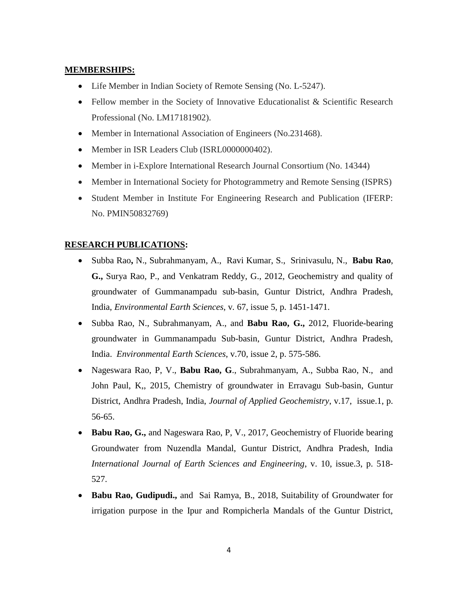### **MEMBERSHIPS:**

- Life Member in Indian Society of Remote Sensing (No. L-5247).
- Fellow member in the Society of Innovative Educationalist & Scientific Research Professional (No. LM17181902).
- Member in International Association of Engineers (No.231468).
- Member in ISR Leaders Club (ISRL0000000402).
- Member in i-Explore International Research Journal Consortium (No. 14344)
- Member in International Society for Photogrammetry and Remote Sensing (ISPRS)
- Student Member in Institute For Engineering Research and Publication (IFERP: No. PMIN50832769)

## **RESEARCH PUBLICATIONS:**

- [Subba Rao](http://link.springer.com/search?facet-author=%22N.+Subba+Rao%22)**,** N., [Subrahmanyam,](http://link.springer.com/search?facet-author=%22A.+Subrahmanyam%22) A., [Ravi Kumar,](http://link.springer.com/search?facet-author=%22S.+Ravi+Kumar%22) S., [Srinivasulu,](http://link.springer.com/search?facet-author=%22N.+Srinivasulu%22) N., **[Babu Rao](http://link.springer.com/search?facet-author=%22G.+Babu+Rao%22)**, **G.,** [Surya Rao,](http://link.springer.com/search?facet-author=%22P.+Surya+Rao%22) P., and [Venkatram Reddy,](http://link.springer.com/search?facet-author=%22G.+Venkatram+Reddy%22) G., 2012, Geochemistry and quality of groundwater of Gummanampadu sub-basin, Guntur District, Andhra Pradesh, India, *[Environmental Earth Sciences](http://link.springer.com/journal/12665)*, v*.* 67, [issue 5,](http://link.springer.com/journal/12665/67/5/page/1) p. 1451-1471.
- [Subba Rao,](http://link.springer.com/search?facet-author=%22N.+Subba+Rao%22) N., [Subrahmanyam,](http://link.springer.com/search?facet-author=%22A.+Subrahmanyam%22) A., and **[Babu Rao,](http://link.springer.com/search?facet-author=%22G.+Babu+Rao%22) G.,** 2012, Fluoride-bearing groundwater in Gummanampadu Sub-basin, Guntur District, Andhra Pradesh, India. *[Environmental Earth Sciences](http://link.springer.com/journal/12665)*, v.70, issue 2, p. 575-586.
- Nageswara Rao, P, V., **Babu Rao, G**., Subrahmanyam, A., Subba Rao, N., and John Paul, K,, 2015, Chemistry of groundwater in Erravagu Sub-basin, Guntur District, Andhra Pradesh, India, *Journal of Applied Geochemistry*, v.17, issue.1, p. 56-65.
- **Babu Rao, G.,** and Nageswara Rao, P, V., 2017, Geochemistry of Fluoride bearing Groundwater from Nuzendla Mandal, Guntur District, Andhra Pradesh, India *International Journal of Earth Sciences and Engineering*, v. 10, issue.3, p. 518- 527.
- **Babu Rao, Gudipudi.,** and Sai Ramya, B., 2018, Suitability of Groundwater for irrigation purpose in the Ipur and Rompicherla Mandals of the Guntur District,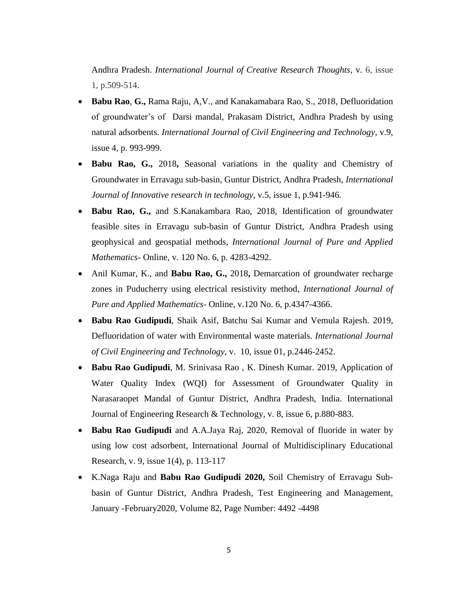Andhra Pradesh. *International Journal of Creative Research Thoughts*, v. 6, issue 1, p.509-514.

- **Babu Rao**, **G.,** Rama Raju, A,V., and Kanakamabara Rao, S., 2018, Defluoridation of groundwater"s of Darsi mandal, Prakasam District, Andhra Pradesh by using natural adsorbents. *International Journal of Civil Engineering and Technology*, v.9, issue 4, p. 993-999.
- **Babu Rao, G.,** 2018**,** Seasonal variations in the quality and Chemistry of Groundwater in Erravagu sub-basin, Guntur District, Andhra Pradesh, *International Journal of Innovative research in technology*, v.5, issue 1, p.941-946.
- **Babu Rao, G.,** and S.Kanakambara Rao, 2018, Identification of groundwater feasible sites in Erravagu sub-basin of Guntur District, Andhra Pradesh using geophysical and geospatial methods, *International Journal of Pure and Applied Mathematics*- Online, v. 120 No. 6, p. 4283-4292.
- Anil Kumar, K., and **Babu Rao, G.,** 2018**,** Demarcation of groundwater recharge zones in Puducherry using electrical resistivity method, *International Journal of Pure and Applied Mathematics*- Online, v.120 No. 6, p.4347-4366.
- **Babu Rao Gudipudi**, Shaik Asif, Batchu Sai Kumar and Vemula Rajesh. 2019, Defluoridation of water with Environmental waste materials. *International Journal of Civil Engineering and Technology,* v. 10, issue 01, p.2446-2452.
- **Babu Rao Gudipudi**, M. Srinivasa Rao , K. Dinesh Kumar. 2019, Application of Water Quality Index (WQI) for Assessment of Groundwater Quality in Narasaraopet Mandal of Guntur District, Andhra Pradesh, India. International Journal of Engineering Research & Technology, v. 8, issue 6, p.880-883.
- **Babu Rao Gudipudi** and A.A.Jaya Raj, 2020, Removal of fluoride in water by using low cost adsorbent, International Journal of Multidisciplinary Educational Research, v. 9, issue 1(4), p. 113-117
- K.Naga Raju and **Babu Rao Gudipudi 2020,** Soil Chemistry of Erravagu Subbasin of Guntur District, Andhra Pradesh, Test Engineering and Management, January -February2020, Volume 82, Page Number: 4492 -4498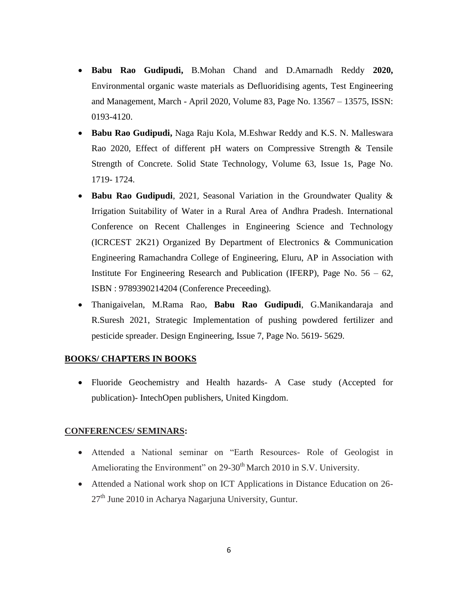- **Babu Rao Gudipudi,** B.Mohan Chand and D.Amarnadh Reddy **2020,**  Environmental organic waste materials as Defluoridising agents, Test Engineering and Management, March - April 2020, Volume 83, Page No. 13567 – 13575, ISSN: 0193-4120.
- **Babu Rao Gudipudi,** Naga Raju Kola, M.Eshwar Reddy and K.S. N. Malleswara Rao 2020, Effect of different pH waters on Compressive Strength & Tensile Strength of Concrete. Solid State Technology, Volume 63, Issue 1s, Page No. 1719- 1724.
- **Babu Rao Gudipudi**, 2021, Seasonal Variation in the Groundwater Quality & Irrigation Suitability of Water in a Rural Area of Andhra Pradesh. International Conference on Recent Challenges in Engineering Science and Technology (ICRCEST 2K21) Organized By Department of Electronics & Communication Engineering Ramachandra College of Engineering, Eluru, AP in Association with Institute For Engineering Research and Publication (IFERP), Page No.  $56 - 62$ , ISBN : 9789390214204 (Conference Preceeding).
- Thanigaivelan, M.Rama Rao, **Babu Rao Gudipudi**, G.Manikandaraja and R.Suresh 2021, Strategic Implementation of pushing powdered fertilizer and pesticide spreader. Design Engineering, Issue 7, Page No. 5619- 5629.

### **BOOKS/ CHAPTERS IN BOOKS**

 Fluoride Geochemistry and Health hazards- A Case study (Accepted for publication)- IntechOpen publishers, United Kingdom.

### **CONFERENCES/ SEMINARS:**

- Attended a National seminar on "Earth Resources- Role of Geologist in Ameliorating the Environment" on 29-30<sup>th</sup> March 2010 in S.V. University.
- Attended a National work shop on ICT Applications in Distance Education on 26-  $27<sup>th</sup>$  June 2010 in Acharya Nagarjuna University, Guntur.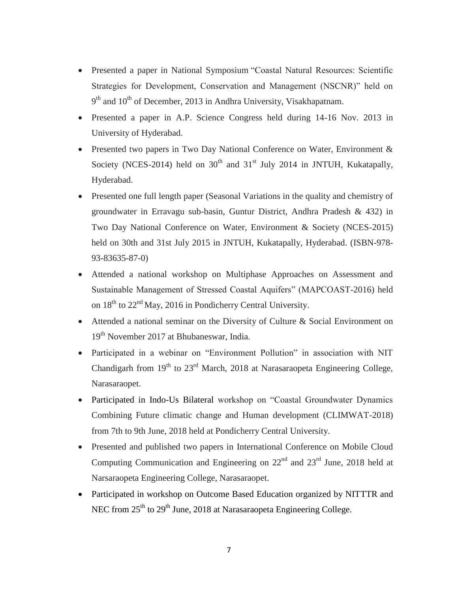- Presented a paper in National Symposium "Coastal Natural Resources: Scientific Strategies for Development, Conservation and Management (NSCNR)" held on 9<sup>th</sup> and 10<sup>th</sup> of December, 2013 in Andhra University, Visakhapatnam.
- Presented a paper in A.P. Science Congress held during 14-16 Nov. 2013 in University of Hyderabad.
- Presented two papers in Two Day National Conference on Water, Environment & Society (NCES-2014) held on  $30<sup>th</sup>$  and  $31<sup>st</sup>$  July 2014 in JNTUH, Kukatapally, Hyderabad.
- Presented one full length paper (Seasonal Variations in the quality and chemistry of groundwater in Erravagu sub-basin, Guntur District, Andhra Pradesh & 432) in Two Day National Conference on Water, Environment & Society (NCES-2015) held on 30th and 31st July 2015 in JNTUH, Kukatapally, Hyderabad. (ISBN-978- 93-83635-87-0)
- Attended a national workshop on Multiphase Approaches on Assessment and Sustainable Management of Stressed Coastal Aquifers" (MAPCOAST-2016) held on  $18<sup>th</sup>$  to  $22<sup>nd</sup>$  May, 2016 in Pondicherry Central University.
- Attended a national seminar on the Diversity of Culture & Social Environment on 19<sup>th</sup> November 2017 at Bhubaneswar, India.
- Participated in a webinar on "Environment Pollution" in association with NIT Chandigarh from  $19<sup>th</sup>$  to  $23<sup>rd</sup>$  March, 2018 at Narasaraopeta Engineering College, Narasaraopet.
- Participated in Indo-Us Bilateral workshop on "Coastal Groundwater Dynamics Combining Future climatic change and Human development (CLIMWAT-2018) from 7th to 9th June, 2018 held at Pondicherry Central University.
- Presented and published two papers in International Conference on Mobile Cloud Computing Communication and Engineering on  $22<sup>nd</sup>$  and  $23<sup>rd</sup>$  June, 2018 held at Narsaraopeta Engineering College, Narasaraopet.
- Participated in workshop on Outcome Based Education organized by NITTTR and NEC from 25<sup>th</sup> to 29<sup>th</sup> June, 2018 at Narasaraopeta Engineering College.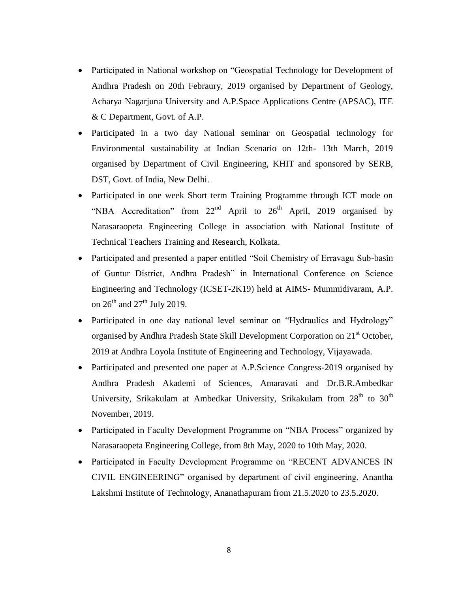- Participated in National workshop on "Geospatial Technology for Development of Andhra Pradesh on 20th Febraury, 2019 organised by Department of Geology, Acharya Nagarjuna University and A.P.Space Applications Centre (APSAC), ITE & C Department, Govt. of A.P.
- Participated in a two day National seminar on Geospatial technology for Environmental sustainability at Indian Scenario on 12th- 13th March, 2019 organised by Department of Civil Engineering, KHIT and sponsored by SERB, DST, Govt. of India, New Delhi.
- Participated in one week Short term Training Programme through ICT mode on "NBA Accreditation" from  $22<sup>nd</sup>$  April to  $26<sup>th</sup>$  April, 2019 organised by Narasaraopeta Engineering College in association with National Institute of Technical Teachers Training and Research, Kolkata.
- Participated and presented a paper entitled "Soil Chemistry of Erravagu Sub-basin of Guntur District, Andhra Pradesh" in International Conference on Science Engineering and Technology (ICSET-2K19) held at AIMS- Mummidivaram, A.P. on  $26^{th}$  and  $27^{th}$  July 2019.
- Participated in one day national level seminar on "Hydraulics and Hydrology" organised by Andhra Pradesh State Skill Development Corporation on 21<sup>st</sup> October, 2019 at Andhra Loyola Institute of Engineering and Technology, Vijayawada.
- Participated and presented one paper at A.P.Science Congress-2019 organised by Andhra Pradesh Akademi of Sciences, Amaravati and Dr.B.R.Ambedkar University, Srikakulam at Ambedkar University, Srikakulam from 28<sup>th</sup> to 30<sup>th</sup> November, 2019.
- Participated in Faculty Development Programme on "NBA Process" organized by Narasaraopeta Engineering College, from 8th May, 2020 to 10th May, 2020.
- Participated in Faculty Development Programme on "RECENT ADVANCES IN CIVIL ENGINEERING" organised by department of civil engineering, Anantha Lakshmi Institute of Technology, Ananathapuram from 21.5.2020 to 23.5.2020.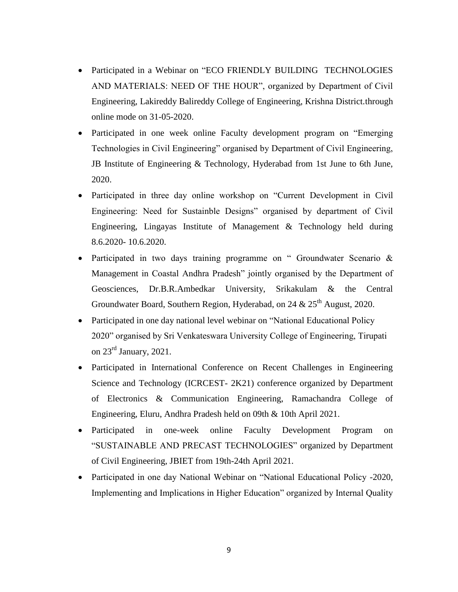- Participated in a Webinar on "ECO FRIENDLY BUILDING TECHNOLOGIES AND MATERIALS: NEED OF THE HOUR", organized by Department of Civil Engineering, Lakireddy Balireddy College of Engineering, Krishna District.through online mode on 31-05-2020.
- Participated in one week online Faculty development program on "Emerging Technologies in Civil Engineering" organised by Department of Civil Engineering, JB Institute of Engineering & Technology, Hyderabad from 1st June to 6th June, 2020.
- Participated in three day online workshop on "Current Development in Civil Engineering: Need for Sustainble Designs" organised by department of Civil Engineering, Lingayas Institute of Management & Technology held during 8.6.2020- 10.6.2020.
- Participated in two days training programme on " Groundwater Scenario & Management in Coastal Andhra Pradesh" jointly organised by the Department of Geosciences, Dr.B.R.Ambedkar University, Srikakulam & the Central Groundwater Board, Southern Region, Hyderabad, on 24 &  $25<sup>th</sup>$  August, 2020.
- Participated in one day national level webinar on "National Educational Policy 2020" organised by Sri Venkateswara University College of Engineering, Tirupati on  $23^{\text{rd}}$  January,  $2021$ .
- Participated in International Conference on Recent Challenges in Engineering Science and Technology (ICRCEST- 2K21) conference organized by Department of Electronics & Communication Engineering, Ramachandra College of Engineering, Eluru, Andhra Pradesh held on 09th & 10th April 2021.
- Participated in one-week online Faculty Development Program on "SUSTAINABLE AND PRECAST TECHNOLOGIES" organized by Department of Civil Engineering, JBIET from 19th-24th April 2021.
- Participated in one day National Webinar on "National Educational Policy -2020, Implementing and Implications in Higher Education" organized by Internal Quality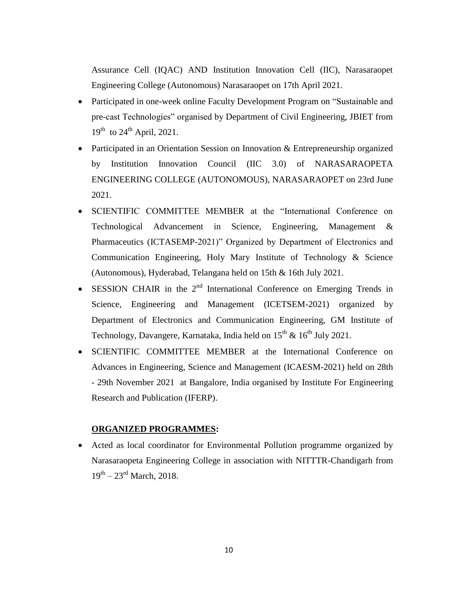Assurance Cell (IQAC) AND Institution Innovation Cell (IIC), Narasaraopet Engineering College (Autonomous) Narasaraopet on 17th April 2021.

- Participated in one-week online Faculty Development Program on "Sustainable and pre-cast Technologies" organised by Department of Civil Engineering, JBIET from  $19^{th}$  to  $24^{th}$  April, 2021.
- Participated in an Orientation Session on Innovation & Entrepreneurship organized by Institution Innovation Council (IIC 3.0) of NARASARAOPETA ENGINEERING COLLEGE (AUTONOMOUS), NARASARAOPET on 23rd June 2021.
- SCIENTIFIC COMMITTEE MEMBER at the "International Conference on Technological Advancement in Science, Engineering, Management & Pharmaceutics (ICTASEMP-2021)" Organized by Department of Electronics and Communication Engineering, Holy Mary Institute of Technology & Science (Autonomous), Hyderabad, Telangana held on 15th & 16th July 2021.
- SESSION CHAIR in the  $2<sup>nd</sup>$  International Conference on Emerging Trends in Science, Engineering and Management (ICETSEM-2021) organized by Department of Electronics and Communication Engineering, GM Institute of Technology, Davangere, Karnataka, India held on  $15<sup>th</sup>$  &  $16<sup>th</sup>$  July 2021.
- SCIENTIFIC COMMITTEE MEMBER at the International Conference on Advances in Engineering, Science and Management (ICAESM-2021) held on 28th - 29th November 2021 at Bangalore, India organised by Institute For Engineering Research and Publication (IFERP).

#### **ORGANIZED PROGRAMMES:**

 Acted as local coordinator for Environmental Pollution programme organized by Narasaraopeta Engineering College in association with NITTTR-Chandigarh from  $19^{th} - 23^{rd}$  March, 2018.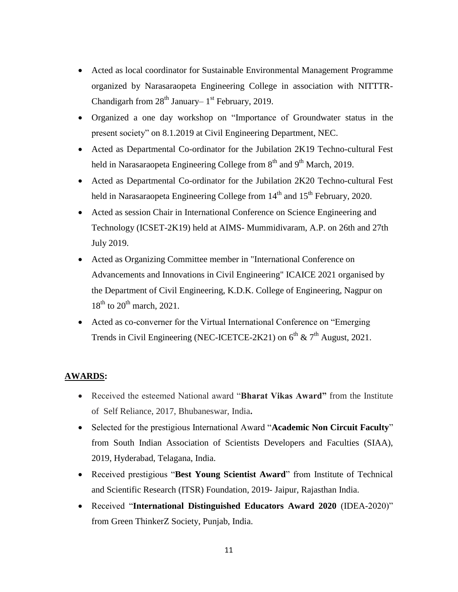- Acted as local coordinator for Sustainable Environmental Management Programme organized by Narasaraopeta Engineering College in association with NITTTR-Chandigarh from  $28<sup>th</sup>$  January–  $1<sup>st</sup>$  February, 2019.
- Organized a one day workshop on "Importance of Groundwater status in the present society" on 8.1.2019 at Civil Engineering Department, NEC.
- Acted as Departmental Co-ordinator for the Jubilation 2K19 Techno-cultural Fest held in Narasaraopeta Engineering College from 8<sup>th</sup> and 9<sup>th</sup> March, 2019.
- Acted as Departmental Co-ordinator for the Jubilation 2K20 Techno-cultural Fest held in Narasaraopeta Engineering College from  $14<sup>th</sup>$  and  $15<sup>th</sup>$  February, 2020.
- Acted as session Chair in International Conference on Science Engineering and Technology (ICSET-2K19) held at AIMS- Mummidivaram, A.P. on 26th and 27th July 2019.
- Acted as Organizing Committee member in "International Conference on Advancements and Innovations in Civil Engineering" ICAICE 2021 organised by the Department of Civil Engineering, K.D.K. College of Engineering, Nagpur on  $18<sup>th</sup>$  to  $20<sup>th</sup>$  march,  $2021$ .
- Acted as co-converner for the Virtual International Conference on "Emerging Trends in Civil Engineering (NEC-ICETCE-2K21) on  $6^{th}$  &  $7^{th}$  August, 2021.

# **AWARDS:**

- Received the esteemed National award "**Bharat Vikas Award"** from the Institute of Self Reliance, 2017, Bhubaneswar, India**.**
- Selected for the prestigious International Award "**Academic Non Circuit Faculty**" from South Indian Association of Scientists Developers and Faculties (SIAA), 2019, Hyderabad, Telagana, India.
- Received prestigious "**Best Young Scientist Award**" from Institute of Technical and Scientific Research (ITSR) Foundation, 2019- Jaipur, Rajasthan India.
- Received "**International Distinguished Educators Award 2020** (IDEA-2020)" from Green ThinkerZ Society, Punjab, India.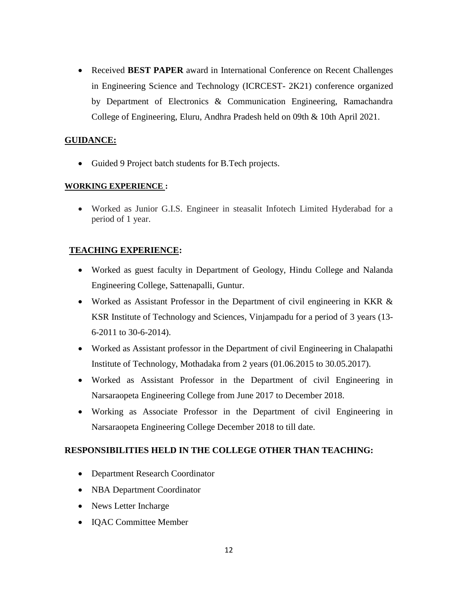Received **BEST PAPER** award in International Conference on Recent Challenges in Engineering Science and Technology (ICRCEST- 2K21) conference organized by Department of Electronics & Communication Engineering, Ramachandra College of Engineering, Eluru, Andhra Pradesh held on 09th & 10th April 2021.

### **GUIDANCE:**

Guided 9 Project batch students for B.Tech projects.

### **WORKING EXPERIENCE :**

 Worked as Junior G.I.S. Engineer in steasalit Infotech Limited Hyderabad for a period of 1 year.

# **TEACHING EXPERIENCE:**

- Worked as guest faculty in Department of Geology, Hindu College and Nalanda Engineering College, Sattenapalli, Guntur.
- Worked as Assistant Professor in the Department of civil engineering in KKR & KSR Institute of Technology and Sciences, Vinjampadu for a period of 3 years (13- 6-2011 to 30-6-2014).
- Worked as Assistant professor in the Department of civil Engineering in Chalapathi Institute of Technology, Mothadaka from 2 years (01.06.2015 to 30.05.2017).
- Worked as Assistant Professor in the Department of civil Engineering in Narsaraopeta Engineering College from June 2017 to December 2018.
- Working as Associate Professor in the Department of civil Engineering in Narsaraopeta Engineering College December 2018 to till date.

### **RESPONSIBILITIES HELD IN THE COLLEGE OTHER THAN TEACHING:**

- Department Research Coordinator
- NBA Department Coordinator
- News Letter Incharge
- IQAC Committee Member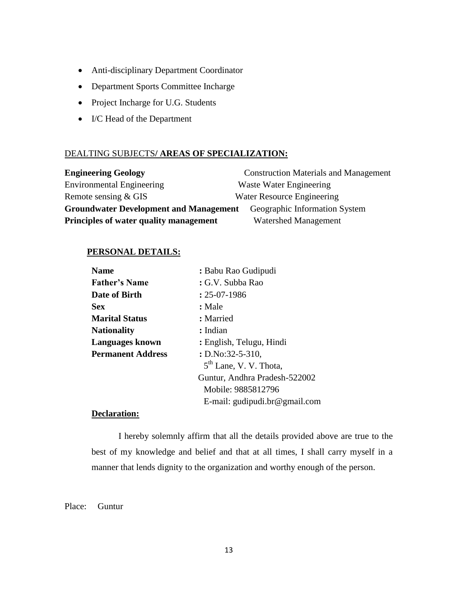- Anti-disciplinary Department Coordinator
- Department Sports Committee Incharge
- Project Incharge for U.G. Students
- I/C Head of the Department

### DEALTING SUBJECTS**/ AREAS OF SPECIALIZATION:**

| <b>Engineering Geology</b>                    | <b>Construction Materials and Management</b> |
|-----------------------------------------------|----------------------------------------------|
| <b>Environmental Engineering</b>              | Waste Water Engineering                      |
| Remote sensing & GIS                          | Water Resource Engineering                   |
| <b>Groundwater Development and Management</b> | Geographic Information System                |
| Principles of water quality management        | <b>Watershed Management</b>                  |

# **PERSONAL DETAILS:**

| <b>Name</b>              | : Babu Rao Gudipudi           |
|--------------------------|-------------------------------|
| <b>Father's Name</b>     | : G.V. Subba Rao              |
| Date of Birth            | $: 25-07-1986$                |
| <b>Sex</b>               | : Male                        |
| <b>Marital Status</b>    | : Married                     |
| <b>Nationality</b>       | : Indian                      |
| <b>Languages known</b>   | : English, Telugu, Hindi      |
| <b>Permanent Address</b> | $: D. No: 32-5-310,$          |
|                          | $5th$ Lane, V. V. Thota,      |
|                          | Guntur, Andhra Pradesh-522002 |
|                          | Mobile: 9885812796            |
|                          | E-mail: gudipudi.br@gmail.com |

### **Declaration:**

I hereby solemnly affirm that all the details provided above are true to the best of my knowledge and belief and that at all times, I shall carry myself in a manner that lends dignity to the organization and worthy enough of the person.

Place: Guntur